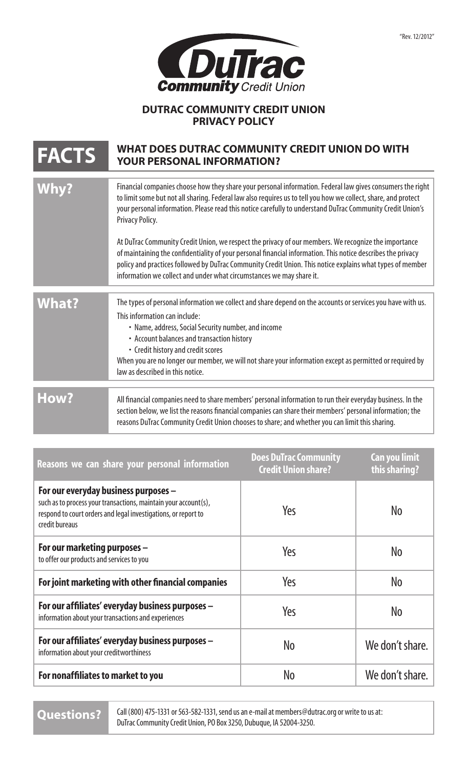

## **DUTRAC COMMUNITY CREDIT UNION PRIVACY POLICY**

## **FACTS** WHAT DOES DUTRAC COMMUNITY CREDIT UNION DO WITH YOUR PERSONAL INFORMATION?

|              | Financial companies choose how they share your personal information. Federal law gives consumers the right<br>to limit some but not all sharing. Federal law also requires us to tell you how we collect, share, and protect<br>your personal information. Please read this notice carefully to understand DuTrac Community Credit Union's<br>Privacy Policy.<br>At DuTrac Community Credit Union, we respect the privacy of our members. We recognize the importance<br>of maintaining the confidentiality of your personal financial information. This notice describes the privacy<br>policy and practices followed by DuTrac Community Credit Union. This notice explains what types of member<br>information we collect and under what circumstances we may share it. |
|--------------|----------------------------------------------------------------------------------------------------------------------------------------------------------------------------------------------------------------------------------------------------------------------------------------------------------------------------------------------------------------------------------------------------------------------------------------------------------------------------------------------------------------------------------------------------------------------------------------------------------------------------------------------------------------------------------------------------------------------------------------------------------------------------|
|              |                                                                                                                                                                                                                                                                                                                                                                                                                                                                                                                                                                                                                                                                                                                                                                            |
| <b>What?</b> | The types of personal information we collect and share depend on the accounts or services you have with us.<br>This information can include:<br>• Name, address, Social Security number, and income<br>• Account balances and transaction history<br>• Credit history and credit scores<br>When you are no longer our member, we will not share your information except as permitted or required by<br>law as described in this notice.                                                                                                                                                                                                                                                                                                                                    |
|              |                                                                                                                                                                                                                                                                                                                                                                                                                                                                                                                                                                                                                                                                                                                                                                            |
| How?         | All financial companies need to share members' personal information to run their everyday business. In the<br>section below, we list the reasons financial companies can share their members' personal information; the<br>reasons DuTrac Community Credit Union chooses to share; and whether you can limit this sharing.                                                                                                                                                                                                                                                                                                                                                                                                                                                 |

| Reasons we can share your personal information                                                                                                                                              | <b>Does DuTrac Community</b><br><b>Credit Union share?</b> | Can you limit<br>this sharing? |
|---------------------------------------------------------------------------------------------------------------------------------------------------------------------------------------------|------------------------------------------------------------|--------------------------------|
| For our everyday business purposes -<br>such as to process your transactions, maintain your account(s),<br>respond to court orders and legal investigations, or report to<br>credit bureaus | Yes                                                        | No                             |
| For our marketing purposes -<br>to offer our products and services to you                                                                                                                   | Yes                                                        | No                             |
| For joint marketing with other financial companies                                                                                                                                          | Yes                                                        | No                             |
| For our affiliates' everyday business purposes -<br>information about your transactions and experiences                                                                                     | Yes                                                        | No                             |
| For our affiliates' everyday business purposes -<br>information about your creditworthiness                                                                                                 | N <sub>0</sub>                                             | We don't share.                |
| For nonaffiliates to market to you                                                                                                                                                          | No                                                         | We don't share.                |

Call (800) 475-1331 or 563-582-1331, send us an e-mail at members@dutrac.org or write to us at: Questions? <sup>Call (800) 475-1331 or 563-582-1331, send us an e-mail at members@dut<br>DuTrac Community Credit Union, PO Box 3250, Dubuque, IA 52004-3250.</sup>